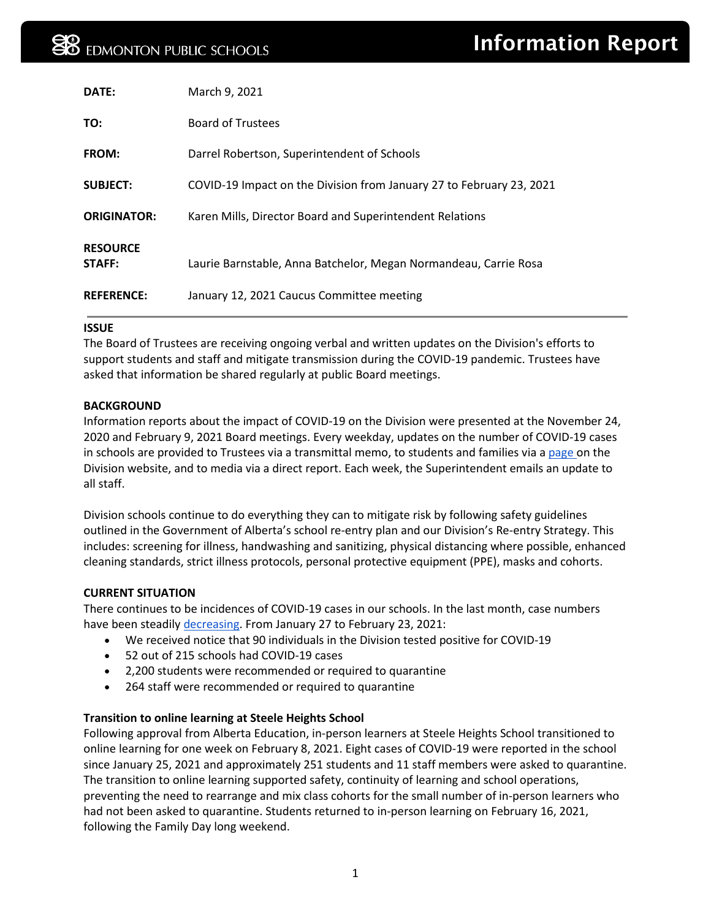| DATE:                     | March 9, 2021                                                        |
|---------------------------|----------------------------------------------------------------------|
| TO:                       | <b>Board of Trustees</b>                                             |
| <b>FROM:</b>              | Darrel Robertson, Superintendent of Schools                          |
| <b>SUBJECT:</b>           | COVID-19 Impact on the Division from January 27 to February 23, 2021 |
| <b>ORIGINATOR:</b>        | Karen Mills, Director Board and Superintendent Relations             |
| <b>RESOURCE</b><br>STAFF: | Laurie Barnstable, Anna Batchelor, Megan Normandeau, Carrie Rosa     |
| <b>REFERENCE:</b>         | January 12, 2021 Caucus Committee meeting                            |

## **ISSUE**

The Board of Trustees are receiving ongoing verbal and written updates on the Division's efforts to support students and staff and mitigate transmission during the COVID-19 pandemic. Trustees have asked that information be shared regularly at public Board meetings.

# **BACKGROUND**

Information reports about the impact of COVID-19 on the Division were presented at the November 24, 2020 and February 9, 2021 Board meetings. Every weekday, updates on the number of COVID-19 cases in schools are provided to Trustees via a transmittal memo, to students and families via [a page o](https://epsb.ca/schools/goingtoschool/health/covid-19cases/)n the Division website, and to media via a direct report. Each week, the Superintendent emails an update to all staff.

Division schools continue to do everything they can to mitigate risk by following safety guidelines outlined in the Government of Alberta's school re-entry plan and our Division's Re-entry Strategy. This includes: screening for illness, handwashing and sanitizing, physical distancing where possible, enhanced cleaning standards, strict illness protocols, personal protective equipment (PPE), masks and cohorts.

# **CURRENT SITUATION**

There continues to be incidences of COVID-19 cases in our schools. In the last month, case numbers have been steadily [decreasing.](https://epsb.ca/media/epsb/ourdistrict/boardoftrustees/boardmeetings/2020-21/february92021/04-COVID-19ImpactontheDivisionfromNovember11,2020toJanuary26,2021.pdf) From January 27 to February 23, 2021:

- We received notice that 90 individuals in the Division tested positive for COVID-19
- 52 out of 215 schools had COVID-19 cases
- 2,200 students were recommended or required to quarantine
- 264 staff were recommended or required to quarantine

# **Transition to online learning at Steele Heights School**

Following approval from Alberta Education, in-person learners at Steele Heights School transitioned to online learning for one week on February 8, 2021. Eight cases of COVID-19 were reported in the school since January 25, 2021 and approximately 251 students and 11 staff members were asked to quarantine. The transition to online learning supported safety, continuity of learning and school operations, preventing the need to rearrange and mix class cohorts for the small number of in-person learners who had not been asked to quarantine. Students returned to in-person learning on February 16, 2021, following the Family Day long weekend.